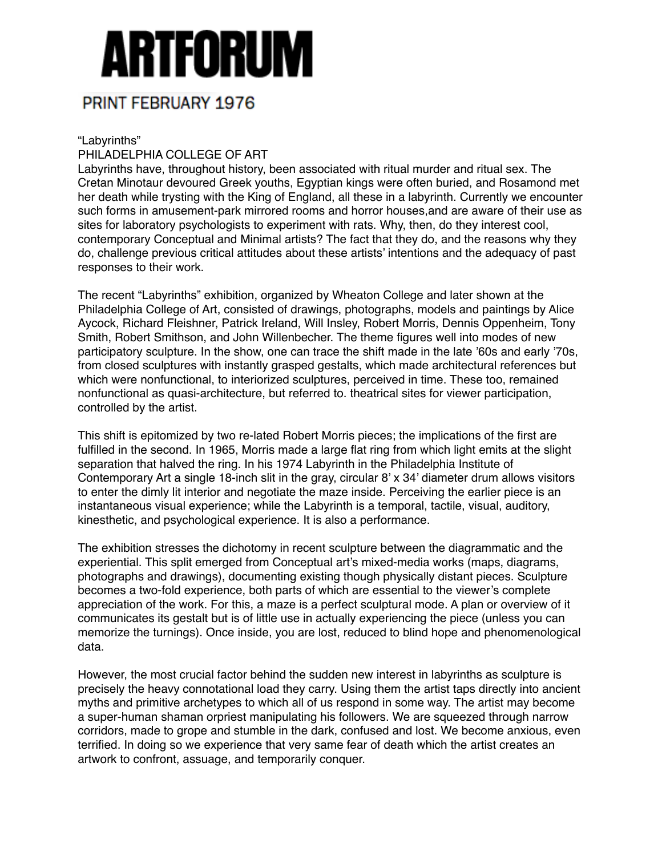## Artforum

## PRINT FEBRUARY 1976

"Labyrinths"

## PHILADELPHIA COLLEGE OF ART

Labyrinths have, throughout history, been associated with ritual murder and ritual sex. The Cretan Minotaur devoured Greek youths, Egyptian kings were often buried, and Rosamond met her death while trysting with the King of England, all these in a labyrinth. Currently we encounter such forms in amusement-park mirrored rooms and horror houses,and are aware of their use as sites for laboratory psychologists to experiment with rats. Why, then, do they interest cool, contemporary Conceptual and Minimal artists? The fact that they do, and the reasons why they do, challenge previous critical attitudes about these artists' intentions and the adequacy of past responses to their work.

The recent "Labyrinths" exhibition, organized by Wheaton College and later shown at the Philadelphia College of Art, consisted of drawings, photographs, models and paintings by Alice Aycock, Richard Fleishner, Patrick Ireland, Will Insley, Robert Morris, Dennis Oppenheim, Tony Smith, Robert Smithson, and John Willenbecher. The theme figures well into modes of new participatory sculpture. In the show, one can trace the shift made in the late '60s and early '70s, from closed sculptures with instantly grasped gestalts, which made architectural references but which were nonfunctional, to interiorized sculptures, perceived in time. These too, remained nonfunctional as quasi-architecture, but referred to. theatrical sites for viewer participation, controlled by the artist.

This shift is epitomized by two re-lated Robert Morris pieces; the implications of the first are fulfilled in the second. In 1965, Morris made a large flat ring from which light emits at the slight separation that halved the ring. In his 1974 Labyrinth in the Philadelphia Institute of Contemporary Art a single 18-inch slit in the gray, circular 8' x 34' diameter drum allows visitors to enter the dimly lit interior and negotiate the maze inside. Perceiving the earlier piece is an instantaneous visual experience; while the Labyrinth is a temporal, tactile, visual, auditory, kinesthetic, and psychological experience. It is also a performance.

The exhibition stresses the dichotomy in recent sculpture between the diagrammatic and the experiential. This split emerged from Conceptual art's mixed-media works (maps, diagrams, photographs and drawings), documenting existing though physically distant pieces. Sculpture becomes a two-fold experience, both parts of which are essential to the viewer's complete appreciation of the work. For this, a maze is a perfect sculptural mode. A plan or overview of it communicates its gestalt but is of little use in actually experiencing the piece (unless you can memorize the turnings). Once inside, you are lost, reduced to blind hope and phenomenological data.

However, the most crucial factor behind the sudden new interest in labyrinths as sculpture is precisely the heavy connotational load they carry. Using them the artist taps directly into ancient myths and primitive archetypes to which all of us respond in some way. The artist may become a super-human shaman orpriest manipulating his followers. We are squeezed through narrow corridors, made to grope and stumble in the dark, confused and lost. We become anxious, even terrified. In doing so we experience that very same fear of death which the artist creates an artwork to confront, assuage, and temporarily conquer.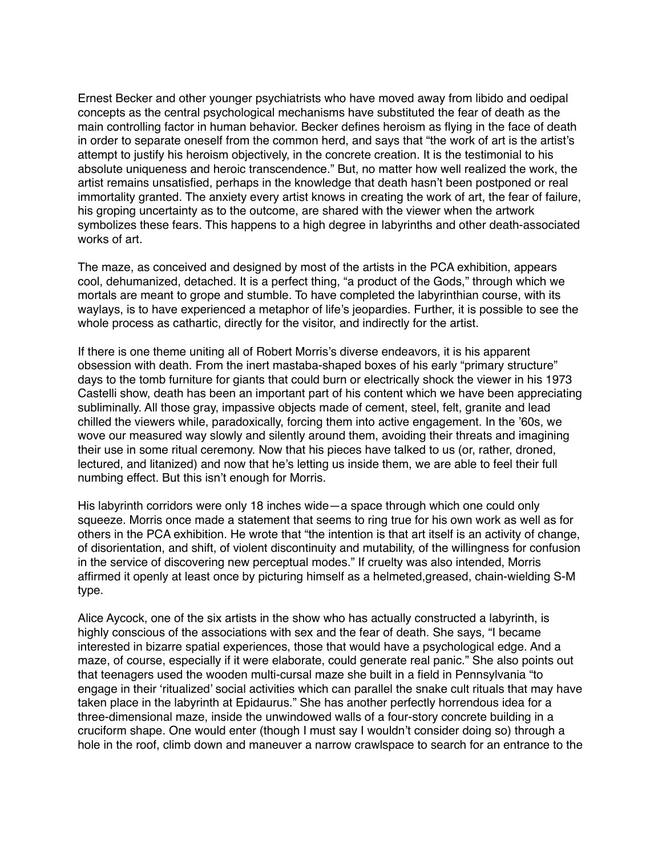Ernest Becker and other younger psychiatrists who have moved away from libido and oedipal concepts as the central psychological mechanisms have substituted the fear of death as the main controlling factor in human behavior. Becker defines heroism as flying in the face of death in order to separate oneself from the common herd, and says that "the work of art is the artist's attempt to justify his heroism objectively, in the concrete creation. It is the testimonial to his absolute uniqueness and heroic transcendence." But, no matter how well realized the work, the artist remains unsatisfied, perhaps in the knowledge that death hasn't been postponed or real immortality granted. The anxiety every artist knows in creating the work of art, the fear of failure, his groping uncertainty as to the outcome, are shared with the viewer when the artwork symbolizes these fears. This happens to a high degree in labyrinths and other death-associated works of art.

The maze, as conceived and designed by most of the artists in the PCA exhibition, appears cool, dehumanized, detached. It is a perfect thing, "a product of the Gods," through which we mortals are meant to grope and stumble. To have completed the labyrinthian course, with its waylays, is to have experienced a metaphor of life's jeopardies. Further, it is possible to see the whole process as cathartic, directly for the visitor, and indirectly for the artist.

If there is one theme uniting all of Robert Morris's diverse endeavors, it is his apparent obsession with death. From the inert mastaba-shaped boxes of his early "primary structure" days to the tomb furniture for giants that could burn or electrically shock the viewer in his 1973 Castelli show, death has been an important part of his content which we have been appreciating subliminally. All those gray, impassive objects made of cement, steel, felt, granite and lead chilled the viewers while, paradoxically, forcing them into active engagement. In the '60s, we wove our measured way slowly and silently around them, avoiding their threats and imagining their use in some ritual ceremony. Now that his pieces have talked to us (or, rather, droned, lectured, and litanized) and now that he's letting us inside them, we are able to feel their full numbing effect. But this isn't enough for Morris.

His labyrinth corridors were only 18 inches wide—a space through which one could only squeeze. Morris once made a statement that seems to ring true for his own work as well as for others in the PCA exhibition. He wrote that "the intention is that art itself is an activity of change, of disorientation, and shift, of violent discontinuity and mutability, of the willingness for confusion in the service of discovering new perceptual modes." If cruelty was also intended, Morris affirmed it openly at least once by picturing himself as a helmeted,greased, chain-wielding S-M type.

Alice Aycock, one of the six artists in the show who has actually constructed a labyrinth, is highly conscious of the associations with sex and the fear of death. She says, "I became interested in bizarre spatial experiences, those that would have a psychological edge. And a maze, of course, especially if it were elaborate, could generate real panic." She also points out that teenagers used the wooden multi-cursal maze she built in a field in Pennsylvania "to engage in their 'ritualized' social activities which can parallel the snake cult rituals that may have taken place in the labyrinth at Epidaurus." She has another perfectly horrendous idea for a three-dimensional maze, inside the unwindowed walls of a four-story concrete building in a cruciform shape. One would enter (though I must say I wouldn't consider doing so) through a hole in the roof, climb down and maneuver a narrow crawlspace to search for an entrance to the